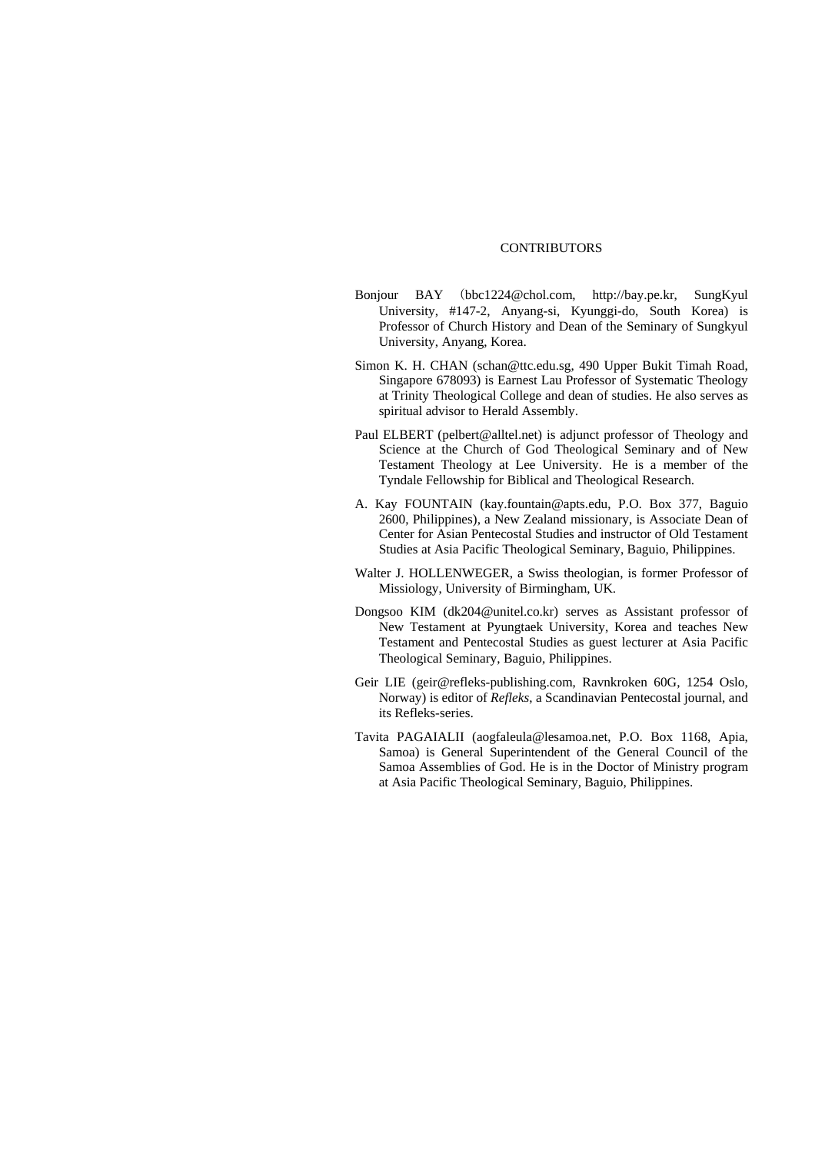## **CONTRIBUTORS**

- Bonjour BAY (bbc1224@chol.com, http://bay.pe.kr, SungKyul University, #147-2, Anyang-si, Kyunggi-do, South Korea) is Professor of Church History and Dean of the Seminary of Sungkyul University, Anyang, Korea.
- Simon K. H. CHAN (schan@ttc.edu.sg, 490 Upper Bukit Timah Road, Singapore 678093) is Earnest Lau Professor of Systematic Theology at Trinity Theological College and dean of studies. He also serves as spiritual advisor to Herald Assembly.
- Paul ELBERT (pelbert@alltel.net) is adjunct professor of Theology and Science at the Church of God Theological Seminary and of New Testament Theology at Lee University. He is a member of the Tyndale Fellowship for Biblical and Theological Research.
- A. Kay FOUNTAIN (kay.fountain@apts.edu, P.O. Box 377, Baguio 2600, Philippines), a New Zealand missionary, is Associate Dean of Center for Asian Pentecostal Studies and instructor of Old Testament Studies at Asia Pacific Theological Seminary, Baguio, Philippines.
- Walter J. HOLLENWEGER, a Swiss theologian, is former Professor of Missiology, University of Birmingham, UK.
- Dongsoo KIM (dk204@unitel.co.kr) serves as Assistant professor of New Testament at Pyungtaek University, Korea and teaches New Testament and Pentecostal Studies as guest lecturer at Asia Pacific Theological Seminary, Baguio, Philippines.
- Geir LIE (geir@refleks-publishing.com, Ravnkroken 60G, 1254 Oslo, Norway) is editor of *Refleks*, a Scandinavian Pentecostal journal, and its Refleks-series.
- Tavita PAGAIALII (aogfaleula@lesamoa.net, P.O. Box 1168, Apia, Samoa) is General Superintendent of the General Council of the Samoa Assemblies of God. He is in the Doctor of Ministry program at Asia Pacific Theological Seminary, Baguio, Philippines.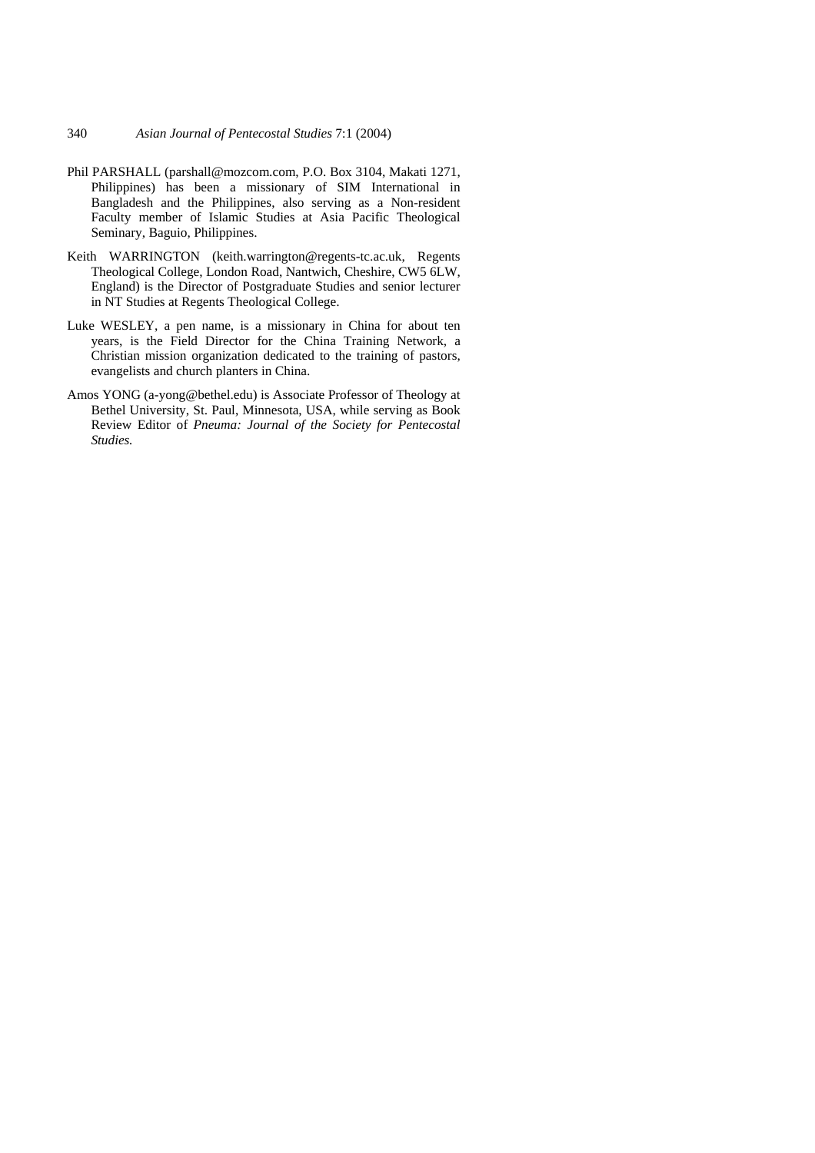- Phil PARSHALL (parshall@mozcom.com, P.O. Box 3104, Makati 1271, Philippines) has been a missionary of SIM International in Bangladesh and the Philippines, also serving as a Non-resident Faculty member of Islamic Studies at Asia Pacific Theological Seminary, Baguio, Philippines.
- Keith WARRINGTON (keith.warrington@regents-tc.ac.uk, Regents Theological College, London Road, Nantwich, Cheshire, CW5 6LW, England) is the Director of Postgraduate Studies and senior lecturer in NT Studies at Regents Theological College.
- Luke WESLEY, a pen name, is a missionary in China for about ten years, is the Field Director for the China Training Network, a Christian mission organization dedicated to the training of pastors, evangelists and church planters in China.
- Amos YONG (a-yong@bethel.edu) is Associate Professor of Theology at Bethel University, St. Paul, Minnesota, USA, while serving as Book Review Editor of *Pneuma: Journal of the Society for Pentecostal Studies.*